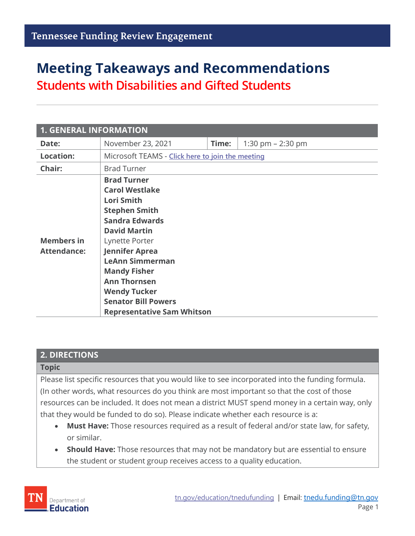# **Meeting Takeaways and Recommendations Students with Disabilities and Gifted Students**

| <b>1. GENERAL INFORMATION</b>           |                                                                                                                                                                                                                                                                                                                                                |       |                     |  |  |  |  |
|-----------------------------------------|------------------------------------------------------------------------------------------------------------------------------------------------------------------------------------------------------------------------------------------------------------------------------------------------------------------------------------------------|-------|---------------------|--|--|--|--|
| Date:                                   | November 23, 2021                                                                                                                                                                                                                                                                                                                              | Time: | 1:30 pm $- 2:30$ pm |  |  |  |  |
| <b>Location:</b>                        | Microsoft TEAMS - Click here to join the meeting                                                                                                                                                                                                                                                                                               |       |                     |  |  |  |  |
| Chair:                                  | <b>Brad Turner</b>                                                                                                                                                                                                                                                                                                                             |       |                     |  |  |  |  |
| <b>Members in</b><br><b>Attendance:</b> | <b>Brad Turner</b><br><b>Carol Westlake</b><br>Lori Smith<br><b>Stephen Smith</b><br><b>Sandra Edwards</b><br><b>David Martin</b><br>Lynette Porter<br><b>Jennifer Aprea</b><br><b>LeAnn Simmerman</b><br><b>Mandy Fisher</b><br><b>Ann Thornsen</b><br><b>Wendy Tucker</b><br><b>Senator Bill Powers</b><br><b>Representative Sam Whitson</b> |       |                     |  |  |  |  |

#### **2. DIRECTIONS**

#### **Topic**

Please list specific resources that you would like to see incorporated into the funding formula. (In other words, what resources do you think are most important so that the cost of those resources can be included. It does not mean a district MUST spend money in a certain way, only that they would be funded to do so). Please indicate whether each resource is a:

- **Must Have:** Those resources required as a result of federal and/or state law, for safety, or similar.
- **Should Have:** Those resources that may not be mandatory but are essential to ensure the student or student group receives access to a quality education.

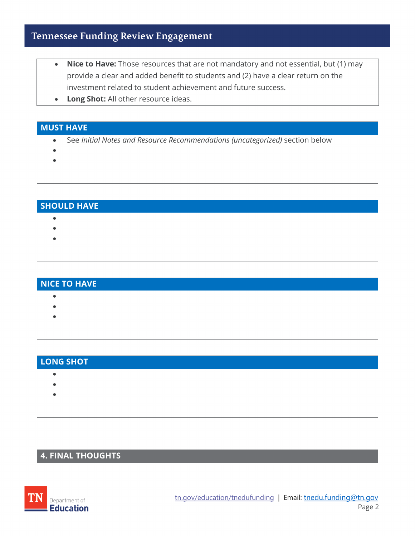# **Tennessee Funding Review Engagement**

- **Nice to Have:** Those resources that are not mandatory and not essential, but (1) may provide a clear and added benefit to students and (2) have a clear return on the investment related to student achievement and future success.
- **Long Shot:** All other resource ideas.

### **MUST HAVE**

- See *Initial Notes and Resource Recommendations (uncategorized)* section below
- •
- **SHOULD HAVE** • • •

| NICE TO HAVE |  |  |  |
|--------------|--|--|--|
|              |  |  |  |
|              |  |  |  |
|              |  |  |  |
|              |  |  |  |

| <b>LONG SHOT</b> |  |  |  |
|------------------|--|--|--|
|                  |  |  |  |
|                  |  |  |  |
|                  |  |  |  |
|                  |  |  |  |

# **4. FINAL THOUGHTS**

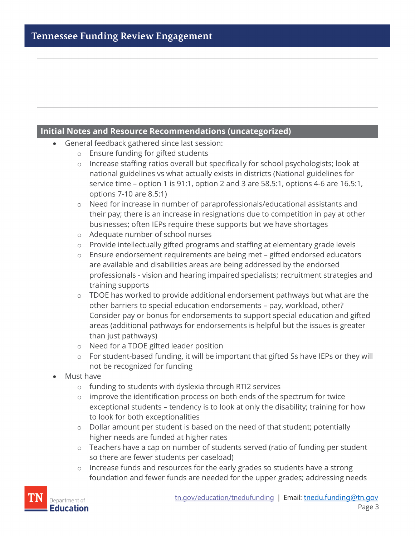## **Initial Notes and Resource Recommendations (uncategorized)** • General feedback gathered since last session: o Ensure funding for gifted students o Increase staffing ratios overall but specifically for school psychologists; look at national guidelines vs what actually exists in districts (National guidelines for service time – option 1 is 91:1, option 2 and 3 are 58.5:1, options 4-6 are 16.5:1, options 7-10 are 8.5:1) o Need for increase in number of paraprofessionals/educational assistants and their pay; there is an increase in resignations due to competition in pay at other businesses; often IEPs require these supports but we have shortages o Adequate number of school nurses o Provide intellectually gifted programs and staffing at elementary grade levels o Ensure endorsement requirements are being met – gifted endorsed educators are available and disabilities areas are being addressed by the endorsed professionals - vision and hearing impaired specialists; recruitment strategies and training supports  $\circ$  TDOE has worked to provide additional endorsement pathways but what are the other barriers to special education endorsements – pay, workload, other? Consider pay or bonus for endorsements to support special education and gifted areas (additional pathways for endorsements is helpful but the issues is greater than just pathways) o Need for a TDOE gifted leader position o For student-based funding, it will be important that gifted Ss have IEPs or they will not be recognized for funding • Must have o funding to students with dyslexia through RTI2 services o improve the identification process on both ends of the spectrum for twice exceptional students – tendency is to look at only the disability; training for how to look for both exceptionalities o Dollar amount per student is based on the need of that student; potentially higher needs are funded at higher rates o Teachers have a cap on number of students served (ratio of funding per student so there are fewer students per caseload) o Increase funds and resources for the early grades so students have a strong foundation and fewer funds are needed for the upper grades; addressing needs